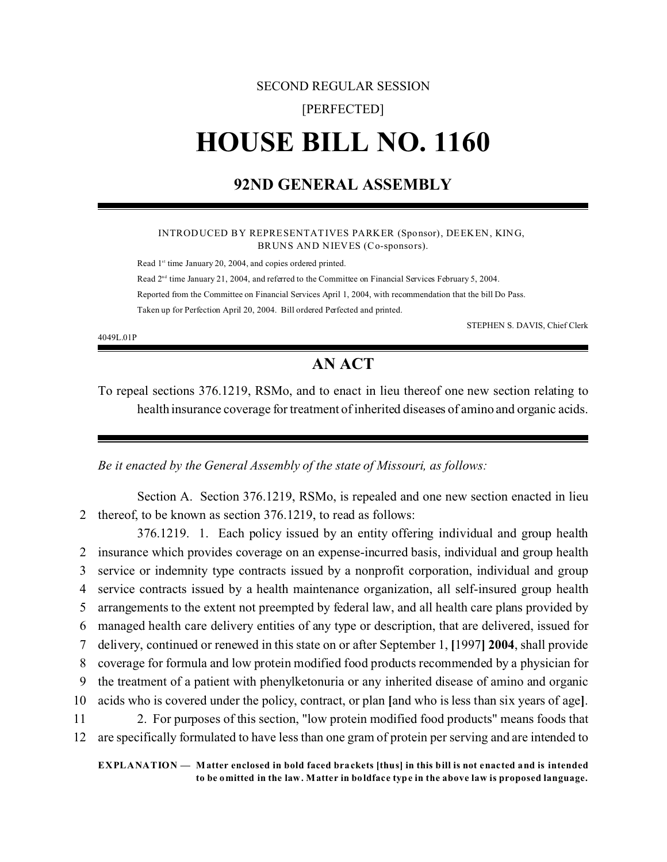### SECOND REGULAR SESSION

### [PERFECTED]

# **HOUSE BILL NO. 1160**

# **92ND GENERAL ASSEMBLY**

#### INTRODUCED BY REPRESENTATIVES PARKER (Sponsor), DEEKEN, KING, BRUNS AND NIEVES (Co-sponsors).

Read 1<sup>st</sup> time January 20, 2004, and copies ordered printed.

Read  $2<sup>nd</sup>$  time January 21, 2004, and referred to the Committee on Financial Services February 5, 2004. Reported from the Committee on Financial Services April 1, 2004, with recommendation that the bill Do Pass. Taken up for Perfection April 20, 2004. Bill ordered Perfected and printed.

4049L.01P

STEPHEN S. DAVIS, Chief Clerk

# **AN ACT**

To repeal sections 376.1219, RSMo, and to enact in lieu thereof one new section relating to health insurance coverage for treatment of inherited diseases of amino and organic acids.

*Be it enacted by the General Assembly of the state of Missouri, as follows:*

Section A. Section 376.1219, RSMo, is repealed and one new section enacted in lieu 2 thereof, to be known as section 376.1219, to read as follows:

376.1219. 1. Each policy issued by an entity offering individual and group health insurance which provides coverage on an expense-incurred basis, individual and group health service or indemnity type contracts issued by a nonprofit corporation, individual and group service contracts issued by a health maintenance organization, all self-insured group health arrangements to the extent not preempted by federal law, and all health care plans provided by managed health care delivery entities of any type or description, that are delivered, issued for delivery, continued or renewed in this state on or after September 1, **[**1997**] 2004**, shall provide coverage for formula and low protein modified food products recommended by a physician for the treatment of a patient with phenylketonuria or any inherited disease of amino and organic acids who is covered under the policy, contract, or plan **[**and who is less than six years of age**]**. 2. For purposes of this section, "low protein modified food products" means foods that are specifically formulated to have less than one gram of protein per serving and are intended to

**EXPLANATION — Matter enclosed in bold faced brackets [thus] in this bill is not enacted and is intended to be omitted in the law. Matter in boldface type in the above law is proposed language.**